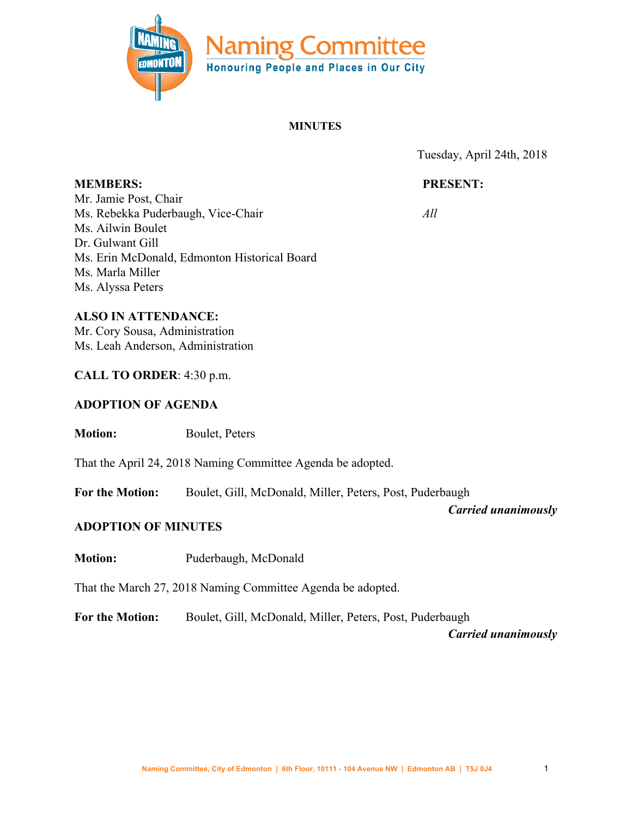

#### **MINUTES**

Tuesday, April 24th, 2018

# **PRESENT:**

*All*

Mr. Jamie Post, Chair Ms. Rebekka Puderbaugh, Vice-Chair Ms. Ailwin Boulet Dr. Gulwant Gill Ms. Erin McDonald, Edmonton Historical Board Ms. Marla Miller Ms. Alyssa Peters

**ALSO IN ATTENDANCE:**

**MEMBERS:**

Mr. Cory Sousa, Administration Ms. Leah Anderson, Administration

## **CALL TO ORDER**: 4:30 p.m.

## **ADOPTION OF AGENDA**

**Motion:** Boulet, Peters

That the April 24, 2018 Naming Committee Agenda be adopted.

**For the Motion:** Boulet, Gill, McDonald, Miller, Peters, Post, Puderbaugh

*Carried unanimously*

## **ADOPTION OF MINUTES**

**Motion:** Puderbaugh, McDonald

That the March 27, 2018 Naming Committee Agenda be adopted.

**For the Motion:** Boulet, Gill, McDonald, Miller, Peters, Post, Puderbaugh

*Carried unanimously*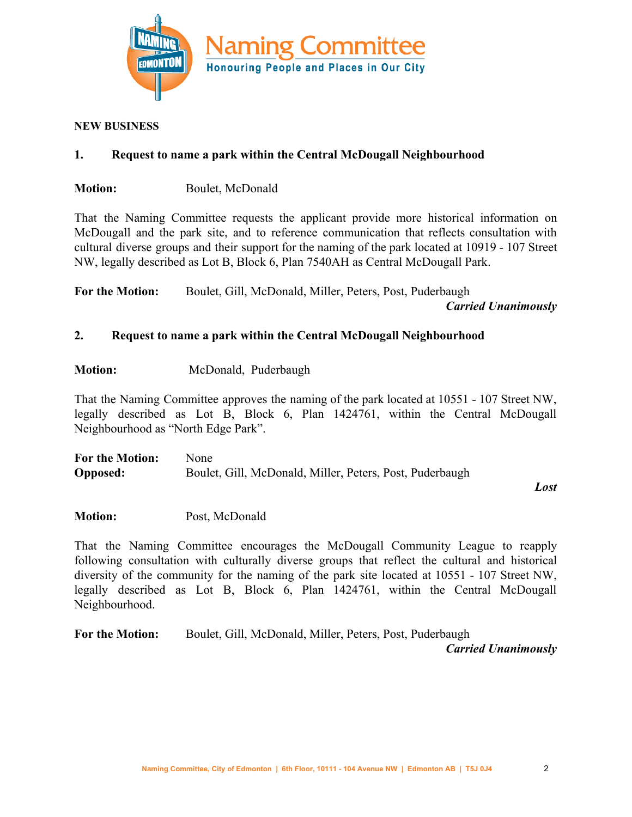

#### **NEW BUSINESS**

# **1. Request to name a park within the Central McDougall Neighbourhood**

**Motion:** Boulet, McDonald

That the Naming Committee requests the applicant provide more historical information on McDougall and the park site, and to reference communication that reflects consultation with cultural diverse groups and their support for the naming of the park located at 10919 - 107 Street NW, legally described as Lot B, Block 6, Plan 7540AH as Central McDougall Park.

**For the Motion:** Boulet, Gill, McDonald, Miller, Peters, Post, Puderbaugh

*Carried Unanimously*

# **2. Request to name a park within the Central McDougall Neighbourhood**

**Motion:** McDonald, Puderbaugh

That the Naming Committee approves the naming of the park located at 10551 - 107 Street NW, legally described as Lot B, Block 6, Plan 1424761, within the Central McDougall Neighbourhood as "North Edge Park".

| <b>For the Motion:</b> | <b>None</b>                                              |
|------------------------|----------------------------------------------------------|
| <b>Opposed:</b>        | Boulet, Gill, McDonald, Miller, Peters, Post, Puderbaugh |

*Lost*

**Motion:** Post, McDonald

That the Naming Committee encourages the McDougall Community League to reapply following consultation with culturally diverse groups that reflect the cultural and historical diversity of the community for the naming of the park site located at 10551 - 107 Street NW, legally described as Lot B, Block 6, Plan 1424761, within the Central McDougall Neighbourhood.

**For the Motion:** Boulet, Gill, McDonald, Miller, Peters, Post, Puderbaugh *Carried Unanimously*